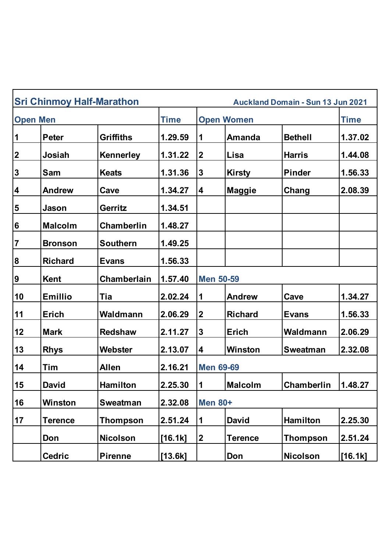|                         | <b>Sri Chinmoy Half-Marathon</b> |                    |             |                   |                | <b>Auckland Domain - Sun 13 Jun 2021</b> |             |  |
|-------------------------|----------------------------------|--------------------|-------------|-------------------|----------------|------------------------------------------|-------------|--|
| <b>Open Men</b>         |                                  |                    | <b>Time</b> | <b>Open Women</b> |                |                                          | <b>Time</b> |  |
| $\mathbf 1$             | <b>Peter</b>                     | <b>Griffiths</b>   | 1.29.59     | 1                 | <b>Amanda</b>  | <b>Bethell</b>                           | 1.37.02     |  |
| $\boldsymbol{2}$        | Josiah                           | Kennerley          | 1.31.22     | $\boldsymbol{2}$  | Lisa           | <b>Harris</b>                            | 1.44.08     |  |
| $\mathbf{3}$            | Sam                              | <b>Keats</b>       | 1.31.36     | $\mathbf{3}$      | <b>Kirsty</b>  | <b>Pinder</b>                            | 1.56.33     |  |
| $\overline{\mathbf{4}}$ | <b>Andrew</b>                    | Cave               | 1.34.27     | 4                 | <b>Maggie</b>  | Chang                                    | 2.08.39     |  |
| 5                       | Jason                            | Gerritz            | 1.34.51     |                   |                |                                          |             |  |
| $6\phantom{1}6$         | <b>Malcolm</b>                   | <b>Chamberlin</b>  | 1.48.27     |                   |                |                                          |             |  |
| $\overline{7}$          | <b>Bronson</b>                   | <b>Southern</b>    | 1.49.25     |                   |                |                                          |             |  |
| $\boldsymbol{8}$        | <b>Richard</b>                   | <b>Evans</b>       | 1.56.33     |                   |                |                                          |             |  |
| $\boldsymbol{9}$        | <b>Kent</b>                      | <b>Chamberlain</b> | 1.57.40     | <b>Men 50-59</b>  |                |                                          |             |  |
| 10                      | <b>Emillio</b>                   | Tia                | 2.02.24     | 1                 | <b>Andrew</b>  | Cave                                     | 1.34.27     |  |
| 11                      | <b>Erich</b>                     | Waldmann           | 2.06.29     | $\boldsymbol{2}$  | <b>Richard</b> | <b>Evans</b>                             | 1.56.33     |  |
| 12                      | <b>Mark</b>                      | <b>Redshaw</b>     | 2.11.27     | 3                 | <b>Erich</b>   | Waldmann                                 | 2.06.29     |  |
| 13                      | <b>Rhys</b>                      | Webster            | 2.13.07     | 4                 | <b>Winston</b> | <b>Sweatman</b>                          | 2.32.08     |  |
| 14                      | Tim                              | <b>Allen</b>       | 2.16.21     | <b>Men 69-69</b>  |                |                                          |             |  |
| 15                      | <b>David</b>                     | Hamilton           | 2.25.30     | $\mathbf{1}$      | <b>Malcolm</b> | Chamberlin                               | 1.48.27     |  |
| 16                      | Winston                          | <b>Sweatman</b>    | 2.32.08     | <b>Men 80+</b>    |                |                                          |             |  |
| 17                      | <b>Terence</b>                   | <b>Thompson</b>    | 2.51.24     | $\mathbf 1$       | <b>David</b>   | <b>Hamilton</b>                          | 2.25.30     |  |
|                         | Don                              | <b>Nicolson</b>    | $[16.1k]$   | $\boldsymbol{2}$  | Terence        | <b>Thompson</b>                          | 2.51.24     |  |
|                         | <b>Cedric</b>                    | <b>Pirenne</b>     | [13.6k]     |                   | Don            | <b>Nicolson</b>                          | $[16.1k]$   |  |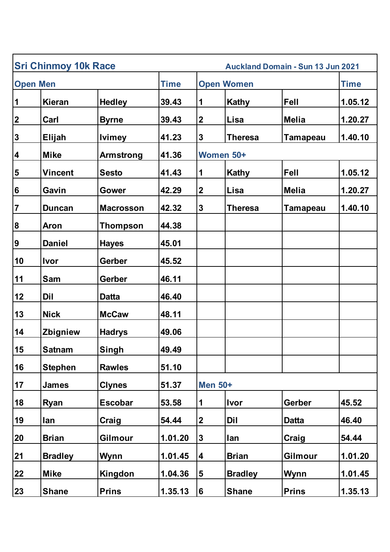| <b>Sri Chinmoy 10k Race</b><br><b>Auckland Domain - Sun 13 Jun 2021</b> |                |                  |             |                  |                   |                 |         |
|-------------------------------------------------------------------------|----------------|------------------|-------------|------------------|-------------------|-----------------|---------|
| <b>Open Men</b>                                                         |                |                  | <b>Time</b> |                  | <b>Open Women</b> |                 |         |
| 1                                                                       | <b>Kieran</b>  | <b>Hedley</b>    | 39.43       | 1                | <b>Kathy</b>      | Fell            | 1.05.12 |
| $\boldsymbol{2}$                                                        | Carl           | <b>Byrne</b>     | 39.43       | $\boldsymbol{2}$ | Lisa              | <b>Melia</b>    | 1.20.27 |
| $\mathbf 3$                                                             | Elijah         | <b>Ivimey</b>    | 41.23       | $\mathbf{3}$     | <b>Theresa</b>    | <b>Tamapeau</b> | 1.40.10 |
| 4                                                                       | <b>Mike</b>    | <b>Armstrong</b> | 41.36       | Women 50+        |                   |                 |         |
| 5                                                                       | <b>Vincent</b> | <b>Sesto</b>     | 41.43       | 1                | Kathy             | Fell            | 1.05.12 |
| $6\phantom{1}$                                                          | Gavin          | <b>Gower</b>     | 42.29       | $\boldsymbol{2}$ | Lisa              | <b>Melia</b>    | 1.20.27 |
| $\overline{7}$                                                          | <b>Duncan</b>  | <b>Macrosson</b> | 42.32       | $\mathbf 3$      | <b>Theresa</b>    | Tamapeau        | 1.40.10 |
| 8                                                                       | <b>Aron</b>    | <b>Thompson</b>  | 44.38       |                  |                   |                 |         |
| $\boldsymbol{9}$                                                        | <b>Daniel</b>  | <b>Hayes</b>     | 45.01       |                  |                   |                 |         |
| 10                                                                      | <b>Ivor</b>    | <b>Gerber</b>    | 45.52       |                  |                   |                 |         |
| 11                                                                      | <b>Sam</b>     | <b>Gerber</b>    | 46.11       |                  |                   |                 |         |
| 12                                                                      | Dil            | <b>Datta</b>     | 46.40       |                  |                   |                 |         |
| 13                                                                      | <b>Nick</b>    | <b>McCaw</b>     | 48.11       |                  |                   |                 |         |
| 14                                                                      | Zbigniew       | <b>Hadrys</b>    | 49.06       |                  |                   |                 |         |
| 15                                                                      | <b>Satnam</b>  | <b>Singh</b>     | 49.49       |                  |                   |                 |         |
| 16                                                                      | <b>Stephen</b> | <b>Rawles</b>    | 51.10       |                  |                   |                 |         |
| 17                                                                      | <b>James</b>   | <b>Clynes</b>    | 51.37       |                  | <b>Men 50+</b>    |                 |         |
| 18                                                                      | <b>Ryan</b>    | <b>Escobar</b>   | 53.58       | $\mathbf 1$      | <b>Ivor</b>       | Gerber          | 45.52   |
| 19                                                                      | lan            | Craig            | 54.44       | $\boldsymbol{2}$ | Dil               | <b>Datta</b>    | 46.40   |
| 20                                                                      | <b>Brian</b>   | Gilmour          | 1.01.20     | $\mathbf{3}$     | lan               | Craig           | 54.44   |
| 21                                                                      | <b>Bradley</b> | Wynn             | 1.01.45     | 4                | <b>Brian</b>      | Gilmour         | 1.01.20 |
| 22                                                                      | <b>Mike</b>    | Kingdon          | 1.04.36     | 5                | <b>Bradley</b>    | Wynn            | 1.01.45 |
| 23                                                                      | <b>Shane</b>   | <b>Prins</b>     | 1.35.13     | 6                | <b>Shane</b>      | <b>Prins</b>    | 1.35.13 |